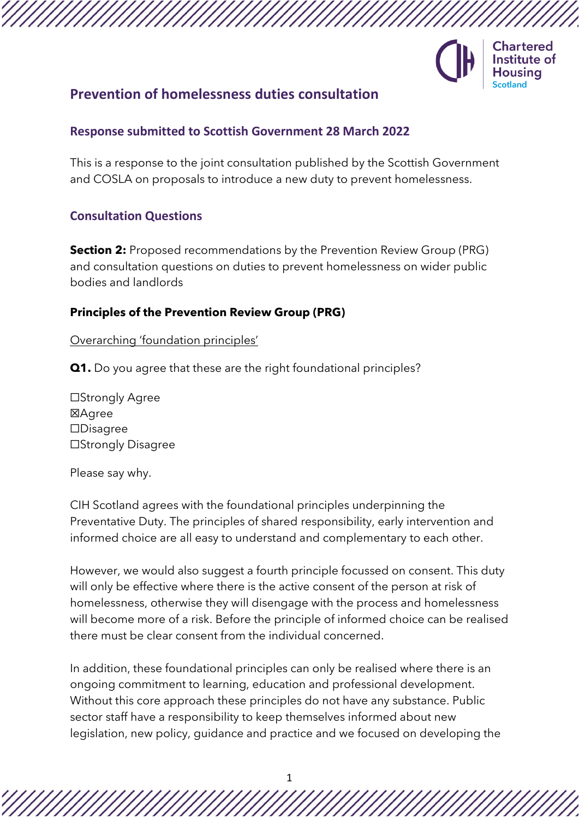

# **Prevention of homelessness duties consultation**

## **Response submitted to Scottish Government 28 March 2022**

This is a response to the joint consultation published by the Scottish Government and COSLA on proposals to introduce a new duty to prevent homelessness.

# **Consultation Questions**

**Section 2:** Proposed recommendations by the Prevention Review Group (PRG) and consultation questions on duties to prevent homelessness on wider public bodies and landlords

# **Principles of the Prevention Review Group (PRG)**

Overarching 'foundation principles'

**Q1.** Do you agree that these are the right foundational principles?

☐Strongly Agree ☒Agree ☐Disagree ☐Strongly Disagree

Please say why.

CIH Scotland agrees with the foundational principles underpinning the Preventative Duty. The principles of shared responsibility, early intervention and informed choice are all easy to understand and complementary to each other.

However, we would also suggest a fourth principle focussed on consent. This duty will only be effective where there is the active consent of the person at risk of homelessness, otherwise they will disengage with the process and homelessness will become more of a risk. Before the principle of informed choice can be realised there must be clear consent from the individual concerned.

In addition, these foundational principles can only be realised where there is an ongoing commitment to learning, education and professional development. Without this core approach these principles do not have any substance. Public sector staff have a responsibility to keep themselves informed about new legislation, new policy, guidance and practice and we focused on developing the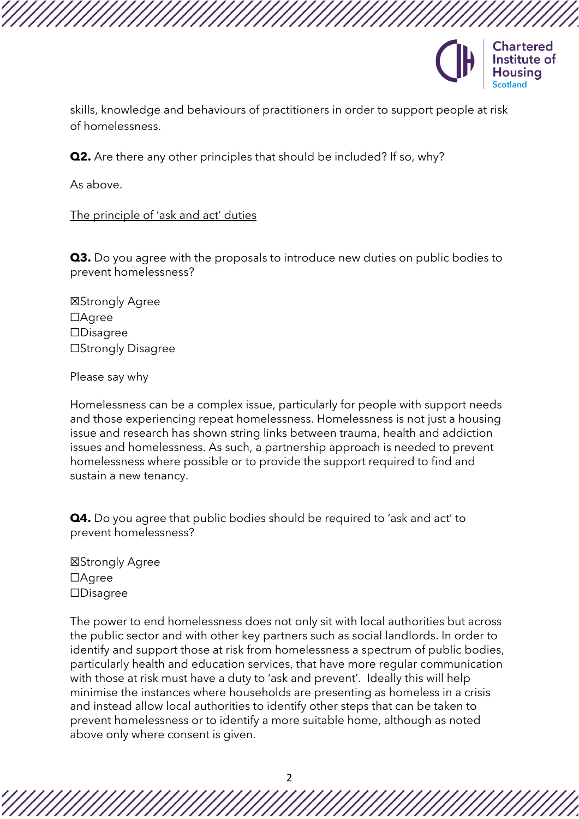

skills, knowledge and behaviours of practitioners in order to support people at risk of homelessness.

**Q2.** Are there any other principles that should be included? If so, why?

As above.

The principle of 'ask and act' duties

**Q3.** Do you agree with the proposals to introduce new duties on public bodies to prevent homelessness?

☒Strongly Agree ☐Agree ☐Disagree ☐Strongly Disagree

Please say why

Homelessness can be a complex issue, particularly for people with support needs and those experiencing repeat homelessness. Homelessness is not just a housing issue and research has shown string links between trauma, health and addiction issues and homelessness. As such, a partnership approach is needed to prevent homelessness where possible or to provide the support required to find and sustain a new tenancy.

**Q4.** Do you agree that public bodies should be required to 'ask and act' to prevent homelessness?

☒Strongly Agree ☐Agree ☐Disagree

The power to end homelessness does not only sit with local authorities but across the public sector and with other key partners such as social landlords. In order to identify and support those at risk from homelessness a spectrum of public bodies, particularly health and education services, that have more regular communication with those at risk must have a duty to 'ask and prevent'. Ideally this will help minimise the instances where households are presenting as homeless in a crisis and instead allow local authorities to identify other steps that can be taken to prevent homelessness or to identify a more suitable home, although as noted above only where consent is given.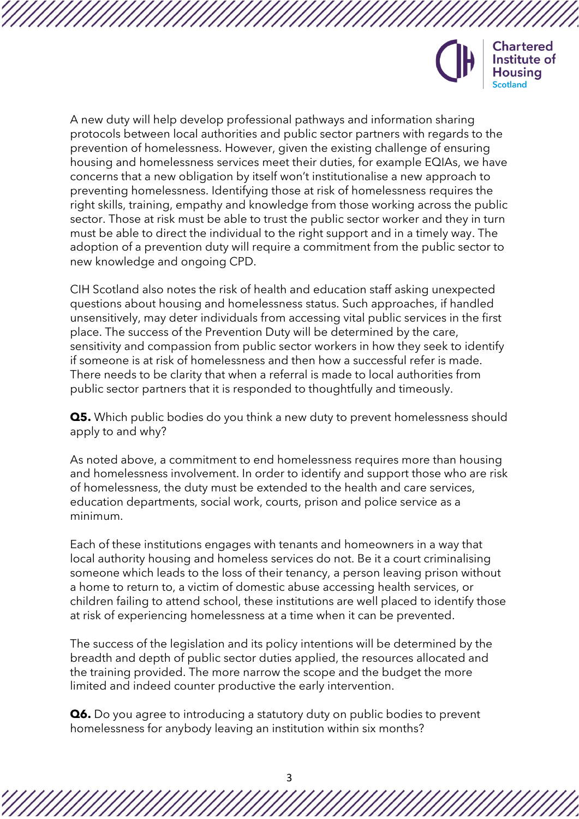

A new duty will help develop professional pathways and information sharing protocols between local authorities and public sector partners with regards to the prevention of homelessness. However, given the existing challenge of ensuring housing and homelessness services meet their duties, for example EQIAs, we have concerns that a new obligation by itself won't institutionalise a new approach to preventing homelessness. Identifying those at risk of homelessness requires the right skills, training, empathy and knowledge from those working across the public sector. Those at risk must be able to trust the public sector worker and they in turn must be able to direct the individual to the right support and in a timely way. The adoption of a prevention duty will require a commitment from the public sector to new knowledge and ongoing CPD.

CIH Scotland also notes the risk of health and education staff asking unexpected questions about housing and homelessness status. Such approaches, if handled unsensitively, may deter individuals from accessing vital public services in the first place. The success of the Prevention Duty will be determined by the care, sensitivity and compassion from public sector workers in how they seek to identify if someone is at risk of homelessness and then how a successful refer is made. There needs to be clarity that when a referral is made to local authorities from public sector partners that it is responded to thoughtfully and timeously.

**Q5.** Which public bodies do you think a new duty to prevent homelessness should apply to and why?

As noted above, a commitment to end homelessness requires more than housing and homelessness involvement. In order to identify and support those who are risk of homelessness, the duty must be extended to the health and care services, education departments, social work, courts, prison and police service as a minimum.

Each of these institutions engages with tenants and homeowners in a way that local authority housing and homeless services do not. Be it a court criminalising someone which leads to the loss of their tenancy, a person leaving prison without a home to return to, a victim of domestic abuse accessing health services, or children failing to attend school, these institutions are well placed to identify those at risk of experiencing homelessness at a time when it can be prevented.

The success of the legislation and its policy intentions will be determined by the breadth and depth of public sector duties applied, the resources allocated and the training provided. The more narrow the scope and the budget the more limited and indeed counter productive the early intervention.

**Q6.** Do you agree to introducing a statutory duty on public bodies to prevent homelessness for anybody leaving an institution within six months?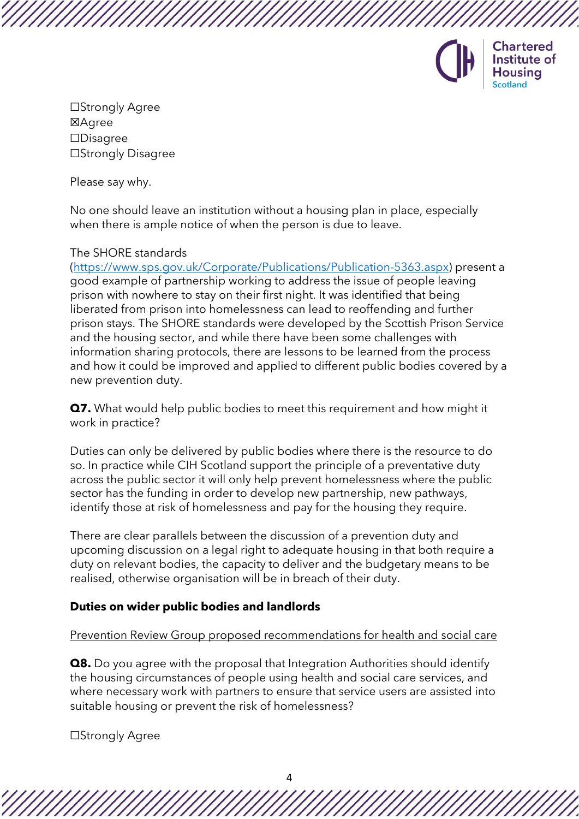

**Chartered** Institute of Housina

☐Strongly Agree ☒Agree ☐Disagree ☐Strongly Disagree

Please say why.

No one should leave an institution without a housing plan in place, especially when there is ample notice of when the person is due to leave.

### The SHORE standards

[\(https://www.sps.gov.uk/Corporate/Publications/Publication-5363.aspx\)](https://www.sps.gov.uk/Corporate/Publications/Publication-5363.aspx) present a good example of partnership working to address the issue of people leaving prison with nowhere to stay on their first night. It was identified that being liberated from prison into homelessness can lead to reoffending and further prison stays. The SHORE standards were developed by the Scottish Prison Service and the housing sector, and while there have been some challenges with information sharing protocols, there are lessons to be learned from the process and how it could be improved and applied to different public bodies covered by a new prevention duty.

**Q7.** What would help public bodies to meet this requirement and how might it work in practice?

Duties can only be delivered by public bodies where there is the resource to do so. In practice while CIH Scotland support the principle of a preventative duty across the public sector it will only help prevent homelessness where the public sector has the funding in order to develop new partnership, new pathways, identify those at risk of homelessness and pay for the housing they require.

There are clear parallels between the discussion of a prevention duty and upcoming discussion on a legal right to adequate housing in that both require a duty on relevant bodies, the capacity to deliver and the budgetary means to be realised, otherwise organisation will be in breach of their duty.

### **Duties on wider public bodies and landlords**

### Prevention Review Group proposed recommendations for health and social care

**Q8.** Do you agree with the proposal that Integration Authorities should identify the housing circumstances of people using health and social care services, and where necessary work with partners to ensure that service users are assisted into suitable housing or prevent the risk of homelessness?

☐Strongly Agree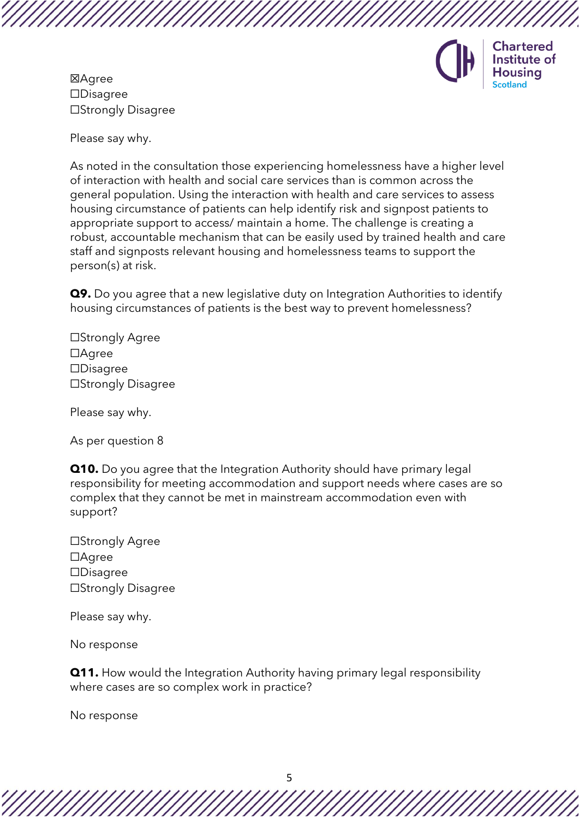

**Chartered** Institute of Housina

☒Agree ☐Disagree ☐Strongly Disagree

Please say why.

As noted in the consultation those experiencing homelessness have a higher level of interaction with health and social care services than is common across the general population. Using the interaction with health and care services to assess housing circumstance of patients can help identify risk and signpost patients to appropriate support to access/ maintain a home. The challenge is creating a robust, accountable mechanism that can be easily used by trained health and care staff and signposts relevant housing and homelessness teams to support the person(s) at risk.

**Q9.** Do you agree that a new legislative duty on Integration Authorities to identify housing circumstances of patients is the best way to prevent homelessness?

☐Strongly Agree ☐Agree ☐Disagree ☐Strongly Disagree

Please say why.

As per question 8

**Q10.** Do you agree that the Integration Authority should have primary legal responsibility for meeting accommodation and support needs where cases are so complex that they cannot be met in mainstream accommodation even with support?

☐Strongly Agree ☐Agree ☐Disagree ☐Strongly Disagree

Please say why.

No response

**Q11.** How would the Integration Authority having primary legal responsibility where cases are so complex work in practice?

No response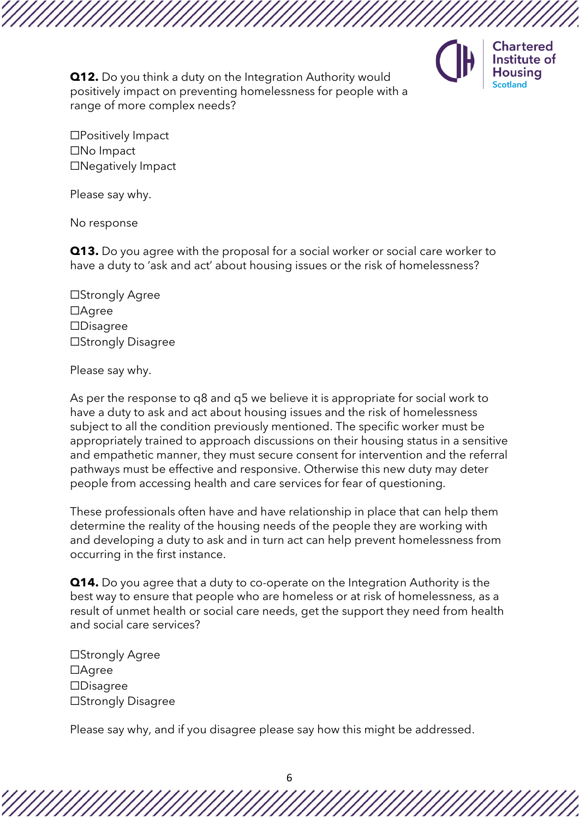

**Chartered** Institute of **Housing** Scotland

**Q12.** Do you think a duty on the Integration Authority would positively impact on preventing homelessness for people with a range of more complex needs?

☐Positively Impact ☐No Impact ☐Negatively Impact

Please say why.

No response

**Q13.** Do you agree with the proposal for a social worker or social care worker to have a duty to 'ask and act' about housing issues or the risk of homelessness?

☐Strongly Agree ☐Agree ☐Disagree ☐Strongly Disagree

#### Please say why.

As per the response to q8 and q5 we believe it is appropriate for social work to have a duty to ask and act about housing issues and the risk of homelessness subject to all the condition previously mentioned. The specific worker must be appropriately trained to approach discussions on their housing status in a sensitive and empathetic manner, they must secure consent for intervention and the referral pathways must be effective and responsive. Otherwise this new duty may deter people from accessing health and care services for fear of questioning.

These professionals often have and have relationship in place that can help them determine the reality of the housing needs of the people they are working with and developing a duty to ask and in turn act can help prevent homelessness from occurring in the first instance.

**Q14.** Do you agree that a duty to co-operate on the Integration Authority is the best way to ensure that people who are homeless or at risk of homelessness, as a result of unmet health or social care needs, get the support they need from health and social care services?

☐Strongly Agree ☐Agree ☐Disagree ☐Strongly Disagree

Please say why, and if you disagree please say how this might be addressed.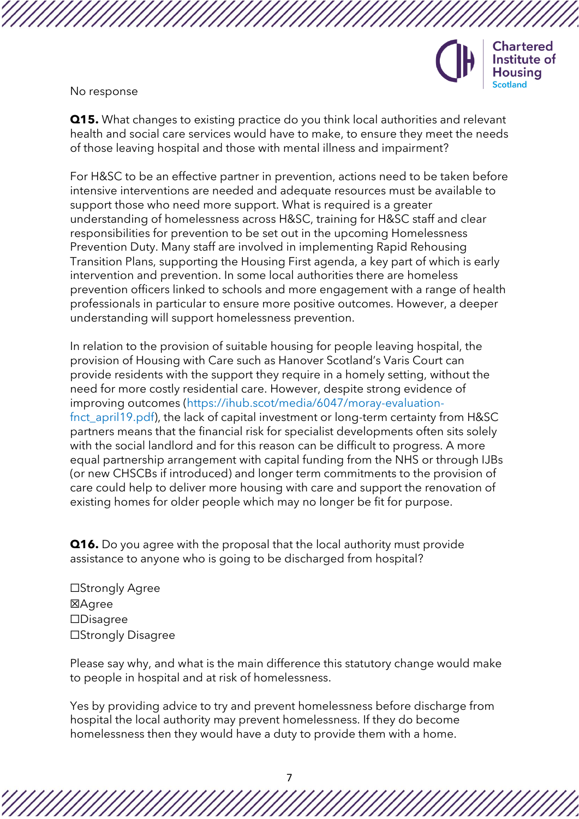

No response

**Q15.** What changes to existing practice do you think local authorities and relevant health and social care services would have to make, to ensure they meet the needs of those leaving hospital and those with mental illness and impairment?

For H&SC to be an effective partner in prevention, actions need to be taken before intensive interventions are needed and adequate resources must be available to support those who need more support. What is required is a greater understanding of homelessness across H&SC, training for H&SC staff and clear responsibilities for prevention to be set out in the upcoming Homelessness Prevention Duty. Many staff are involved in implementing Rapid Rehousing Transition Plans, supporting the Housing First agenda, a key part of which is early intervention and prevention. In some local authorities there are homeless prevention officers linked to schools and more engagement with a range of health professionals in particular to ensure more positive outcomes. However, a deeper understanding will support homelessness prevention.

In relation to the provision of suitable housing for people leaving hospital, the provision of Housing with Care such as Hanover Scotland's Varis Court can provide residents with the support they require in a homely setting, without the need for more costly residential care. However, despite strong evidence of improving outcomes [\(https://ihub.scot/media/6047/moray-evaluation](https://ihub.scot/media/6047/moray-evaluation-fnct_april19.pdf)[fnct\\_april19.pdf\)](https://ihub.scot/media/6047/moray-evaluation-fnct_april19.pdf), the lack of capital investment or long-term certainty from H&SC partners means that the financial risk for specialist developments often sits solely with the social landlord and for this reason can be difficult to progress. A more equal partnership arrangement with capital funding from the NHS or through IJBs (or new CHSCBs if introduced) and longer term commitments to the provision of care could help to deliver more housing with care and support the renovation of existing homes for older people which may no longer be fit for purpose.

**Q16.** Do you agree with the proposal that the local authority must provide assistance to anyone who is going to be discharged from hospital?

☐Strongly Agree ☒Agree ☐Disagree ☐Strongly Disagree

Please say why, and what is the main difference this statutory change would make to people in hospital and at risk of homelessness.

Yes by providing advice to try and prevent homelessness before discharge from hospital the local authority may prevent homelessness. If they do become homelessness then they would have a duty to provide them with a home.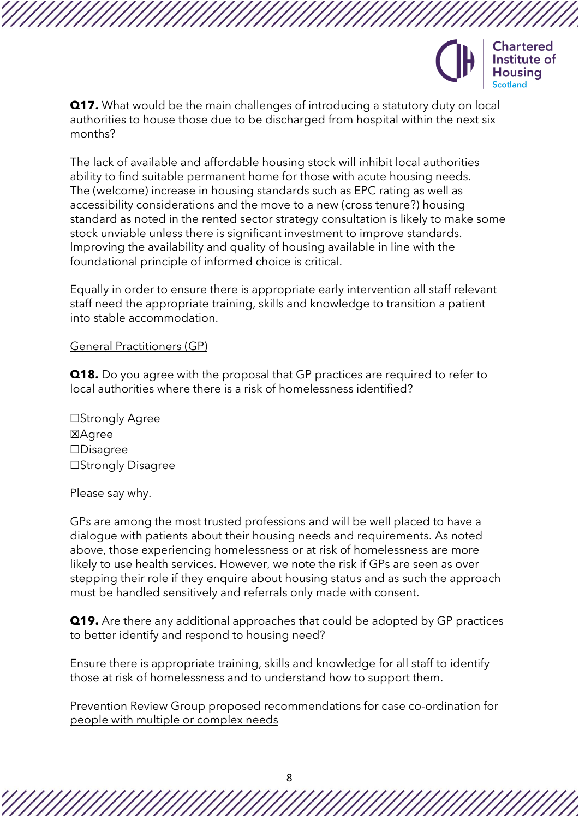

**Q17.** What would be the main challenges of introducing a statutory duty on local authorities to house those due to be discharged from hospital within the next six months?

The lack of available and affordable housing stock will inhibit local authorities ability to find suitable permanent home for those with acute housing needs. The (welcome) increase in housing standards such as EPC rating as well as accessibility considerations and the move to a new (cross tenure?) housing standard as noted in the rented sector strategy consultation is likely to make some stock unviable unless there is significant investment to improve standards. Improving the availability and quality of housing available in line with the foundational principle of informed choice is critical.

Equally in order to ensure there is appropriate early intervention all staff relevant staff need the appropriate training, skills and knowledge to transition a patient into stable accommodation.

#### General Practitioners (GP)

**Q18.** Do you agree with the proposal that GP practices are required to refer to local authorities where there is a risk of homelessness identified?

☐Strongly Agree ☒Agree ☐Disagree ☐Strongly Disagree

Please say why.

GPs are among the most trusted professions and will be well placed to have a dialogue with patients about their housing needs and requirements. As noted above, those experiencing homelessness or at risk of homelessness are more likely to use health services. However, we note the risk if GPs are seen as over stepping their role if they enquire about housing status and as such the approach must be handled sensitively and referrals only made with consent.

**Q19.** Are there any additional approaches that could be adopted by GP practices to better identify and respond to housing need?

Ensure there is appropriate training, skills and knowledge for all staff to identify those at risk of homelessness and to understand how to support them.

Prevention Review Group proposed recommendations for case co-ordination for people with multiple or complex needs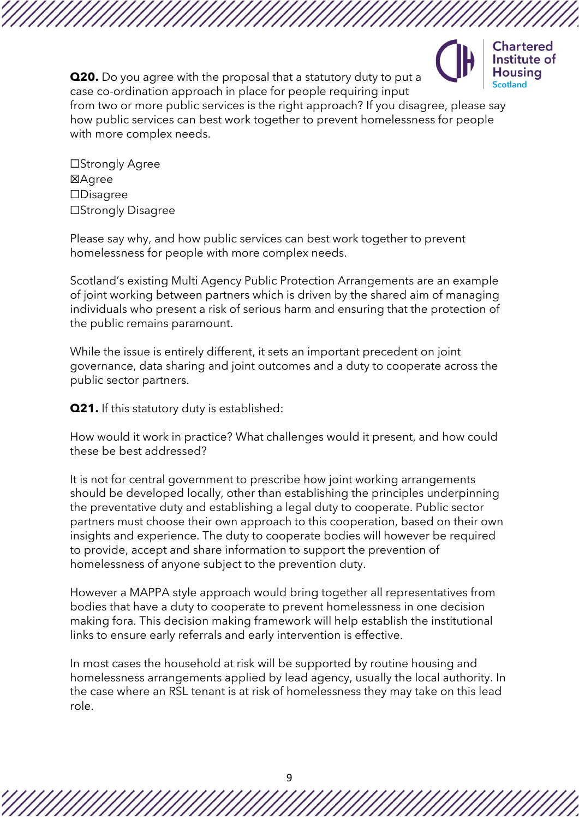

**Q20.** Do you agree with the proposal that a statutory duty to put a case co-ordination approach in place for people requiring input from two or more public services is the right approach? If you disagree, please say how public services can best work together to prevent homelessness for people with more complex needs.

☐Strongly Agree **区Agree** ☐Disagree ☐Strongly Disagree

Please say why, and how public services can best work together to prevent homelessness for people with more complex needs.

Scotland's existing Multi Agency Public Protection Arrangements are an example of joint working between partners which is driven by the shared aim of managing individuals who present a risk of serious harm and ensuring that the protection of the public remains paramount.

While the issue is entirely different, it sets an important precedent on joint governance, data sharing and joint outcomes and a duty to cooperate across the public sector partners.

**Q21.** If this statutory duty is established:

How would it work in practice? What challenges would it present, and how could these be best addressed?

It is not for central government to prescribe how joint working arrangements should be developed locally, other than establishing the principles underpinning the preventative duty and establishing a legal duty to cooperate. Public sector partners must choose their own approach to this cooperation, based on their own insights and experience. The duty to cooperate bodies will however be required to provide, accept and share information to support the prevention of homelessness of anyone subject to the prevention duty.

However a MAPPA style approach would bring together all representatives from bodies that have a duty to cooperate to prevent homelessness in one decision making fora. This decision making framework will help establish the institutional links to ensure early referrals and early intervention is effective.

In most cases the household at risk will be supported by routine housing and homelessness arrangements applied by lead agency, usually the local authority. In the case where an RSL tenant is at risk of homelessness they may take on this lead role.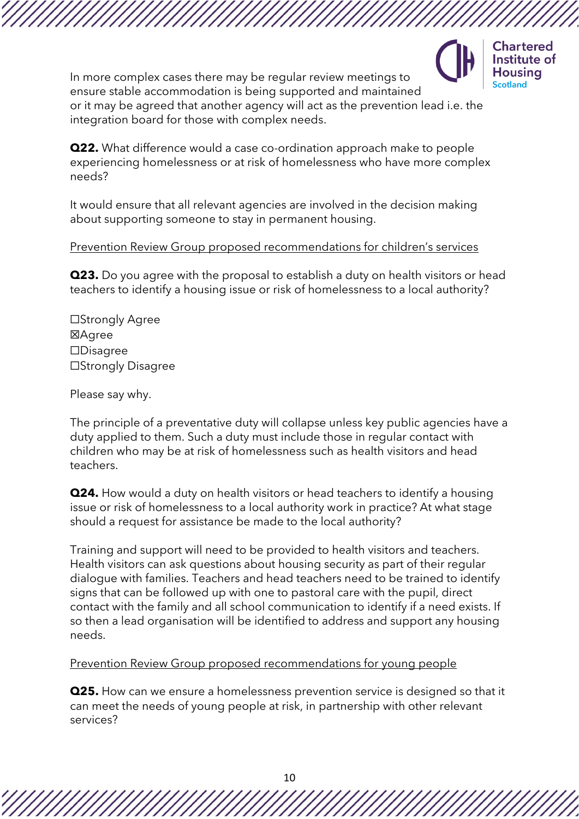

In more complex cases there may be regular review meetings to ensure stable accommodation is being supported and maintained or it may be agreed that another agency will act as the prevention lead i.e. the integration board for those with complex needs.

**Q22.** What difference would a case co-ordination approach make to people experiencing homelessness or at risk of homelessness who have more complex needs?

It would ensure that all relevant agencies are involved in the decision making about supporting someone to stay in permanent housing.

### Prevention Review Group proposed recommendations for children's services

**Q23.** Do you agree with the proposal to establish a duty on health visitors or head teachers to identify a housing issue or risk of homelessness to a local authority?

☐Strongly Agree ☒Agree ☐Disagree ☐Strongly Disagree

Please say why.

The principle of a preventative duty will collapse unless key public agencies have a duty applied to them. Such a duty must include those in regular contact with children who may be at risk of homelessness such as health visitors and head teachers.

**Q24.** How would a duty on health visitors or head teachers to identify a housing issue or risk of homelessness to a local authority work in practice? At what stage should a request for assistance be made to the local authority?

Training and support will need to be provided to health visitors and teachers. Health visitors can ask questions about housing security as part of their regular dialogue with families. Teachers and head teachers need to be trained to identify signs that can be followed up with one to pastoral care with the pupil, direct contact with the family and all school communication to identify if a need exists. If so then a lead organisation will be identified to address and support any housing needs.

### Prevention Review Group proposed recommendations for young people

**Q25.** How can we ensure a homelessness prevention service is designed so that it can meet the needs of young people at risk, in partnership with other relevant services?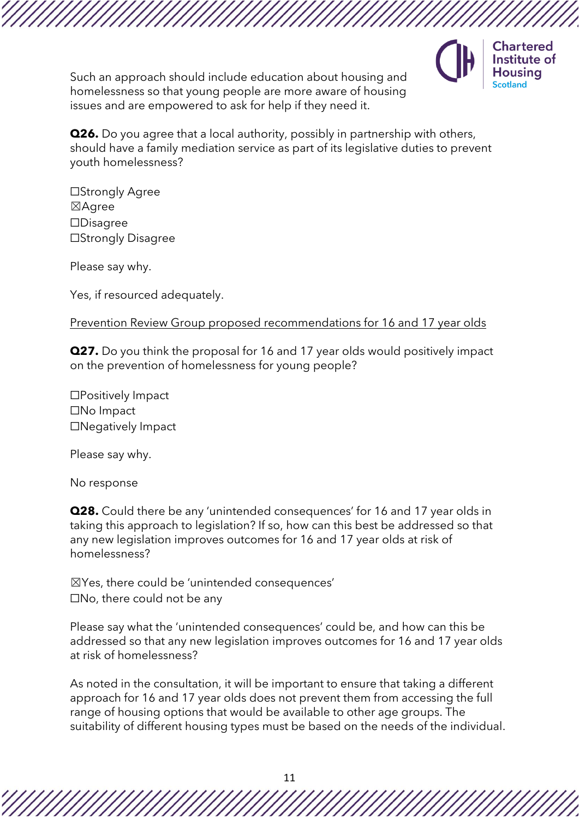Such an approach should include education about housing and homelessness so that young people are more aware of housing issues and are empowered to ask for help if they need it.



**Q26.** Do you agree that a local authority, possibly in partnership with others, should have a family mediation service as part of its legislative duties to prevent youth homelessness?

☐Strongly Agree ☒Agree ☐Disagree ☐Strongly Disagree

Please say why.

Yes, if resourced adequately.

Prevention Review Group proposed recommendations for 16 and 17 year olds

**Q27.** Do you think the proposal for 16 and 17 year olds would positively impact on the prevention of homelessness for young people?

☐Positively Impact ☐No Impact ☐Negatively Impact

Please say why.

No response

**Q28.** Could there be any 'unintended consequences' for 16 and 17 year olds in taking this approach to legislation? If so, how can this best be addressed so that any new legislation improves outcomes for 16 and 17 year olds at risk of homelessness?

☒Yes, there could be 'unintended consequences' ☐No, there could not be any

Please say what the 'unintended consequences' could be, and how can this be addressed so that any new legislation improves outcomes for 16 and 17 year olds at risk of homelessness?

As noted in the consultation, it will be important to ensure that taking a different approach for 16 and 17 year olds does not prevent them from accessing the full range of housing options that would be available to other age groups. The suitability of different housing types must be based on the needs of the individual.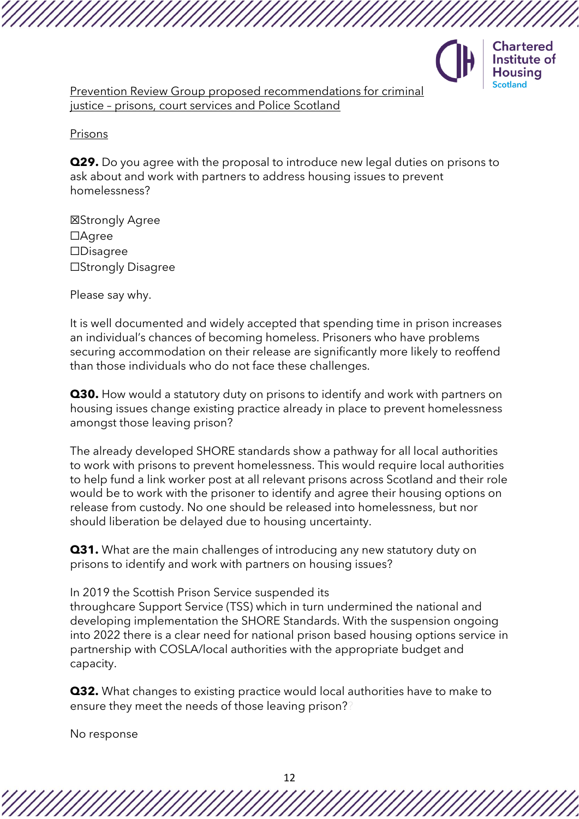

Prevention Review Group proposed recommendations for criminal justice – prisons, court services and Police Scotland

Prisons

**Q29.** Do you agree with the proposal to introduce new legal duties on prisons to ask about and work with partners to address housing issues to prevent homelessness?

☒Strongly Agree ☐Agree ☐Disagree ☐Strongly Disagree

Please say why.

It is well documented and widely accepted that spending time in prison increases an individual's chances of becoming homeless. Prisoners who have problems securing accommodation on their release are significantly more likely to reoffend than those individuals who do not face these challenges.

**Q30.** How would a statutory duty on prisons to identify and work with partners on housing issues change existing practice already in place to prevent homelessness amongst those leaving prison?

The already developed SHORE standards show a pathway for all local authorities to work with prisons to prevent homelessness. This would require local authorities to help fund a link worker post at all relevant prisons across Scotland and their role would be to work with the prisoner to identify and agree their housing options on release from custody. No one should be released into homelessness, but nor should liberation be delayed due to housing uncertainty.

**Q31.** What are the main challenges of introducing any new statutory duty on prisons to identify and work with partners on housing issues?

In 2019 the Scottish Prison Service suspended its

throughcare Support Service (TSS) which in turn undermined the national and developing implementation the SHORE Standards. With the suspension ongoing into 2022 there is a clear need for national prison based housing options service in partnership with COSLA/local authorities with the appropriate budget and capacity.

**Q32.** What changes to existing practice would local authorities have to make to ensure they meet the needs of those leaving prison??

No response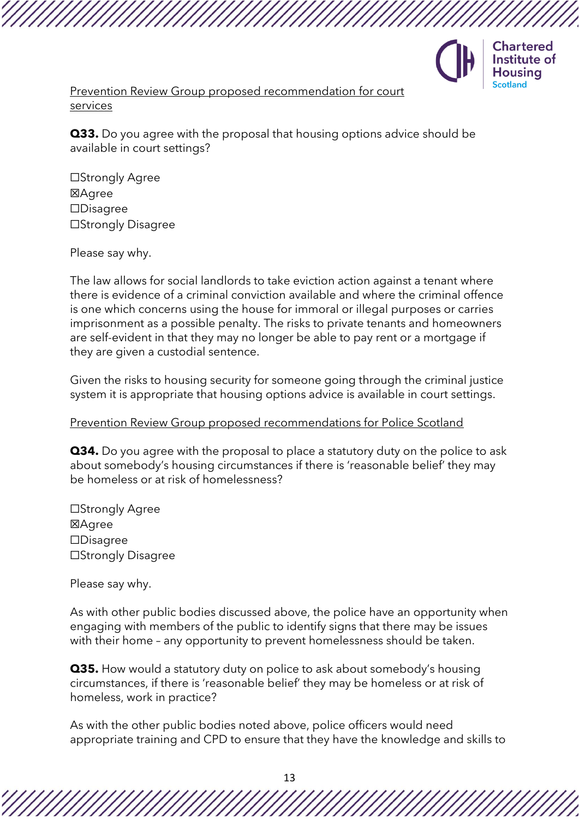

Prevention Review Group proposed recommendation for court services

**Q33.** Do you agree with the proposal that housing options advice should be available in court settings?

☐Strongly Agree ☒Agree ☐Disagree ☐Strongly Disagree

Please say why.

The law allows for social landlords to take eviction action against a tenant where there is evidence of a criminal conviction available and where the criminal offence is one which concerns using the house for immoral or illegal purposes or carries imprisonment as a possible penalty. The risks to private tenants and homeowners are self-evident in that they may no longer be able to pay rent or a mortgage if they are given a custodial sentence.

Given the risks to housing security for someone going through the criminal justice system it is appropriate that housing options advice is available in court settings.

#### Prevention Review Group proposed recommendations for Police Scotland

**Q34.** Do you agree with the proposal to place a statutory duty on the police to ask about somebody's housing circumstances if there is 'reasonable belief' they may be homeless or at risk of homelessness?

☐Strongly Agree ☒Agree ☐Disagree ☐Strongly Disagree

Please say why.

As with other public bodies discussed above, the police have an opportunity when engaging with members of the public to identify signs that there may be issues with their home – any opportunity to prevent homelessness should be taken.

**Q35.** How would a statutory duty on police to ask about somebody's housing circumstances, if there is 'reasonable belief' they may be homeless or at risk of homeless, work in practice?

As with the other public bodies noted above, police officers would need appropriate training and CPD to ensure that they have the knowledge and skills to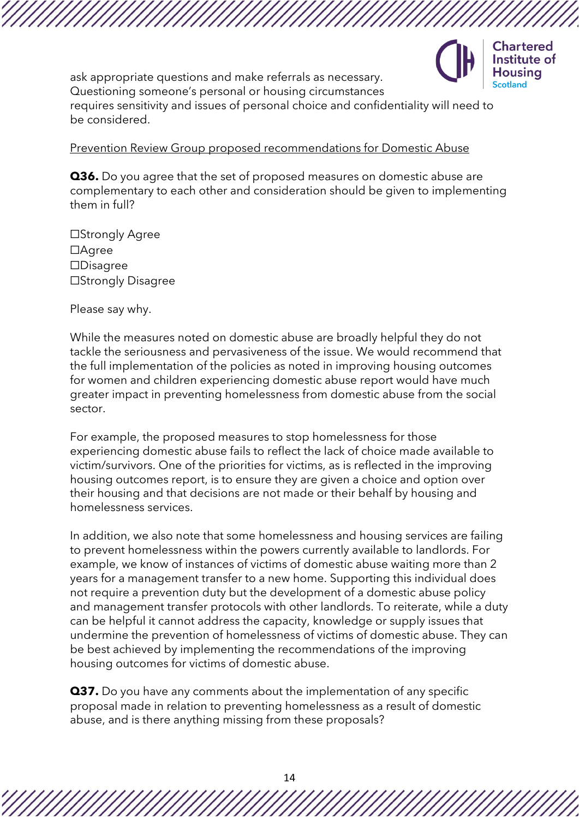

ask appropriate questions and make referrals as necessary. Questioning someone's personal or housing circumstances

requires sensitivity and issues of personal choice and confidentiality will need to be considered.

### Prevention Review Group proposed recommendations for Domestic Abuse

**Q36.** Do you agree that the set of proposed measures on domestic abuse are complementary to each other and consideration should be given to implementing them in full?

☐Strongly Agree ☐Agree ☐Disagree ☐Strongly Disagree

Please say why.

While the measures noted on domestic abuse are broadly helpful they do not tackle the seriousness and pervasiveness of the issue. We would recommend that the full implementation of the policies as noted in improving housing outcomes for women and children experiencing domestic abuse report would have much greater impact in preventing homelessness from domestic abuse from the social sector.

For example, the proposed measures to stop homelessness for those experiencing domestic abuse fails to reflect the lack of choice made available to victim/survivors. One of the priorities for victims, as is reflected in the improving housing outcomes report, is to ensure they are given a choice and option over their housing and that decisions are not made or their behalf by housing and homelessness services.

In addition, we also note that some homelessness and housing services are failing to prevent homelessness within the powers currently available to landlords. For example, we know of instances of victims of domestic abuse waiting more than 2 years for a management transfer to a new home. Supporting this individual does not require a prevention duty but the development of a domestic abuse policy and management transfer protocols with other landlords. To reiterate, while a duty can be helpful it cannot address the capacity, knowledge or supply issues that undermine the prevention of homelessness of victims of domestic abuse. They can be best achieved by implementing the recommendations of the improving housing outcomes for victims of domestic abuse.

**Q37.** Do you have any comments about the implementation of any specific proposal made in relation to preventing homelessness as a result of domestic abuse, and is there anything missing from these proposals?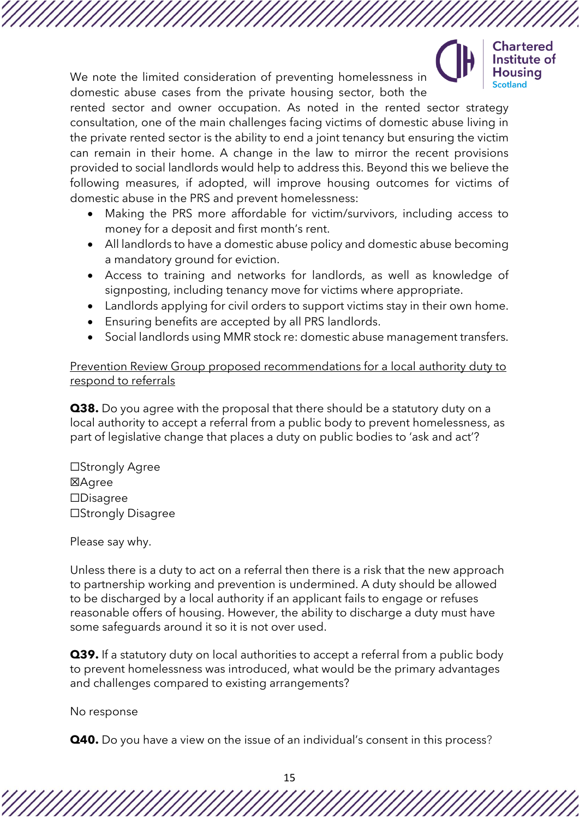**Chartered** Institute of Housina

We note the limited consideration of preventing homelessness in domestic abuse cases from the private housing sector, both the

rented sector and owner occupation. As noted in the rented sector strategy consultation, one of the main challenges facing victims of domestic abuse living in the private rented sector is the ability to end a joint tenancy but ensuring the victim can remain in their home. A change in the law to mirror the recent provisions provided to social landlords would help to address this. Beyond this we believe the following measures, if adopted, will improve housing outcomes for victims of domestic abuse in the PRS and prevent homelessness:

- Making the PRS more affordable for victim/survivors, including access to money for a deposit and first month's rent.
- All landlords to have a domestic abuse policy and domestic abuse becoming a mandatory ground for eviction.
- Access to training and networks for landlords, as well as knowledge of signposting, including tenancy move for victims where appropriate.
- Landlords applying for civil orders to support victims stay in their own home.
- Ensuring benefits are accepted by all PRS landlords.
- Social landlords using MMR stock re: domestic abuse management transfers.

Prevention Review Group proposed recommendations for a local authority duty to respond to referrals

**Q38.** Do you agree with the proposal that there should be a statutory duty on a local authority to accept a referral from a public body to prevent homelessness, as part of legislative change that places a duty on public bodies to 'ask and act'?

☐Strongly Agree ☒Agree ☐Disagree ☐Strongly Disagree

Please say why.

Unless there is a duty to act on a referral then there is a risk that the new approach to partnership working and prevention is undermined. A duty should be allowed to be discharged by a local authority if an applicant fails to engage or refuses reasonable offers of housing. However, the ability to discharge a duty must have some safeguards around it so it is not over used.

**Q39.** If a statutory duty on local authorities to accept a referral from a public body to prevent homelessness was introduced, what would be the primary advantages and challenges compared to existing arrangements?

No response

**Q40.** Do you have a view on the issue of an individual's consent in this process?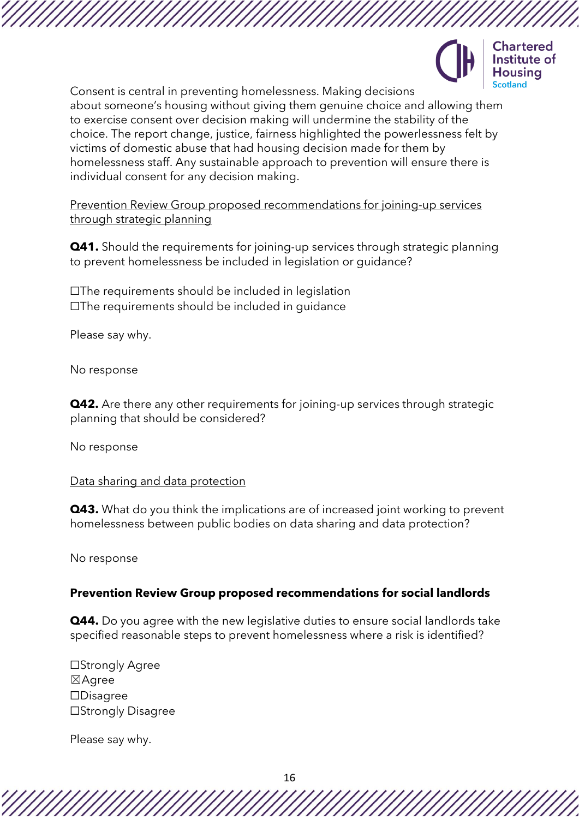



Consent is central in preventing homelessness. Making decisions about someone's housing without giving them genuine choice and allowing them to exercise consent over decision making will undermine the stability of the choice. The report change, justice, fairness highlighted the powerlessness felt by victims of domestic abuse that had housing decision made for them by homelessness staff. Any sustainable approach to prevention will ensure there is individual consent for any decision making.

Prevention Review Group proposed recommendations for joining-up services through strategic planning

**Q41.** Should the requirements for joining-up services through strategic planning to prevent homelessness be included in legislation or guidance?

☐The requirements should be included in legislation ☐The requirements should be included in guidance

Please say why.

No response

**Q42.** Are there any other requirements for joining-up services through strategic planning that should be considered?

No response

#### Data sharing and data protection

**Q43.** What do you think the implications are of increased joint working to prevent homelessness between public bodies on data sharing and data protection?

No response

### **Prevention Review Group proposed recommendations for social landlords**

**Q44.** Do you agree with the new legislative duties to ensure social landlords take specified reasonable steps to prevent homelessness where a risk is identified?

☐Strongly Agree ☒Agree ☐Disagree ☐Strongly Disagree

Please say why.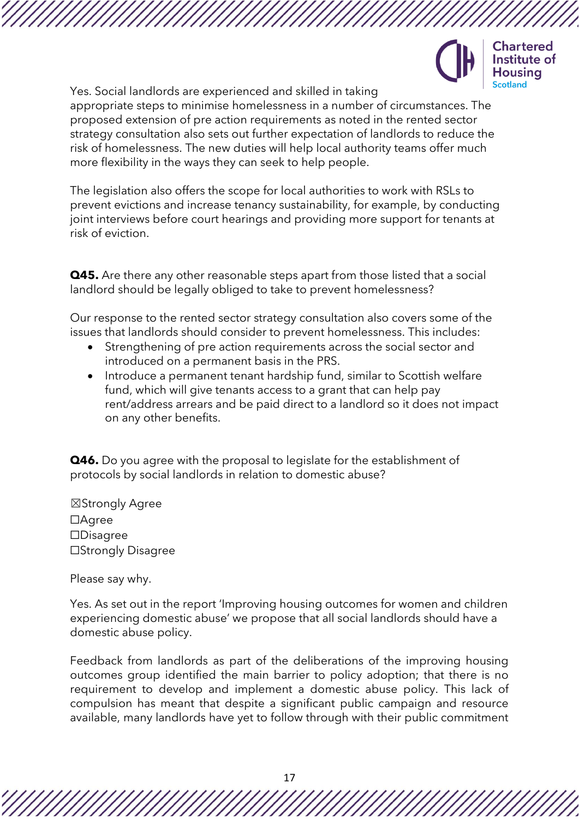

**Chartered** Institute of Housina

Yes. Social landlords are experienced and skilled in taking appropriate steps to minimise homelessness in a number of circumstances. The proposed extension of pre action requirements as noted in the rented sector strategy consultation also sets out further expectation of landlords to reduce the risk of homelessness. The new duties will help local authority teams offer much more flexibility in the ways they can seek to help people.

The legislation also offers the scope for local authorities to work with RSLs to prevent evictions and increase tenancy sustainability, for example, by conducting joint interviews before court hearings and providing more support for tenants at risk of eviction.

**Q45.** Are there any other reasonable steps apart from those listed that a social landlord should be legally obliged to take to prevent homelessness?

Our response to the rented sector strategy consultation also covers some of the issues that landlords should consider to prevent homelessness. This includes:

- Strengthening of pre action requirements across the social sector and introduced on a permanent basis in the PRS.
- Introduce a permanent tenant hardship fund, similar to Scottish welfare fund, which will give tenants access to a grant that can help pay rent/address arrears and be paid direct to a landlord so it does not impact on any other benefits.

**Q46.** Do you agree with the proposal to legislate for the establishment of protocols by social landlords in relation to domestic abuse?

☒Strongly Agree ☐Agree ☐Disagree ☐Strongly Disagree

Please say why.

Yes. [As](https://consult.gov.scot/housing-and-social-justice/draft-rented-sector-strategy/#question-2021-12-14-0824742280-factbanksubquestion) set out in the report 'Improving housing outcomes for women and children experiencing domestic abuse' we propose that all social landlords should have a domestic abuse policy.

Feedback from landlords as part of the deliberations of the improving housing outcomes group identified the main barrier to policy adoption; that there is no requirement to develop and implement a domestic abuse policy. This lack of compulsion has meant that despite a significant public campaign and resource available, many landlords have yet to follow through with their public commitment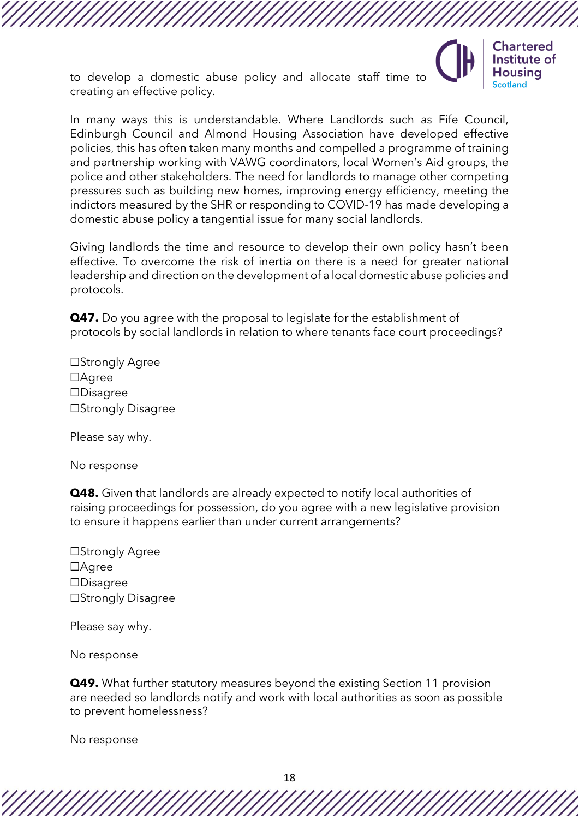to develop a domestic abuse policy and allocate staff time to creating an effective policy.



In many ways this is understandable. Where Landlords such as Fife Council, Edinburgh Council and Almond Housing Association have developed effective policies, this has often taken many months and compelled a programme of training and partnership working with VAWG coordinators, local Women's Aid groups, the police and other stakeholders. The need for landlords to manage other competing pressures such as building new homes, improving energy efficiency, meeting the indictors measured by the SHR or responding to COVID-19 has made developing a domestic abuse policy a tangential issue for many social landlords.

Giving landlords the time and resource to develop their own policy hasn't been effective. To overcome the risk of inertia on there is a need for greater national leadership and direction on the development of a local domestic abuse policies and protocols.

**Q47.** Do you agree with the proposal to legislate for the establishment of protocols by social landlords in relation to where tenants face court proceedings?

☐Strongly Agree ☐Agree ☐Disagree ☐Strongly Disagree

Please say why.

No response

**Q48.** Given that landlords are already expected to notify local authorities of raising proceedings for possession, do you agree with a new legislative provision to ensure it happens earlier than under current arrangements?

☐Strongly Agree ☐Agree ☐Disagree ☐Strongly Disagree

Please say why.

No response

**Q49.** What further statutory measures beyond the existing Section 11 provision are needed so landlords notify and work with local authorities as soon as possible to prevent homelessness?

No response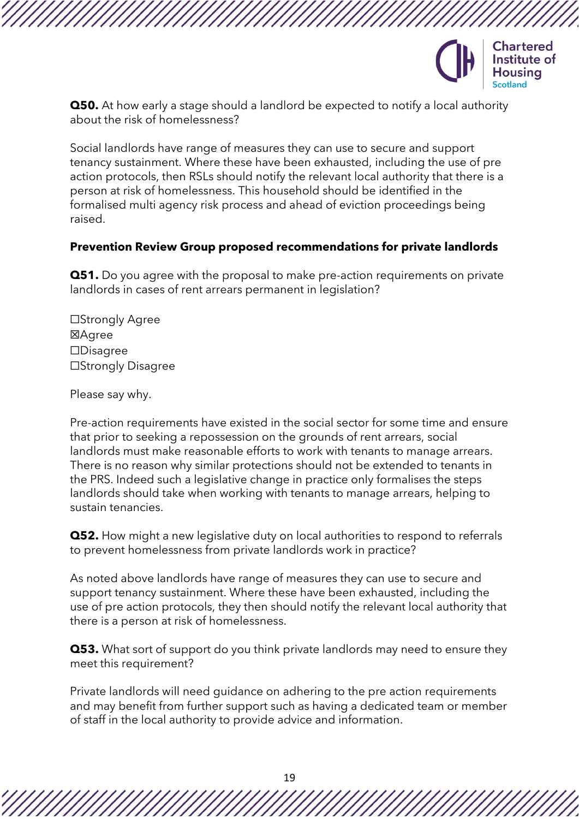

**Q50.** At how early a stage should a landlord be expected to notify a local authority about the risk of homelessness?

Social landlords have range of measures they can use to secure and support tenancy sustainment. Where these have been exhausted, including the use of pre action protocols, then RSLs should notify the relevant local authority that there is a person at risk of homelessness. This household should be identified in the formalised multi agency risk process and ahead of eviction proceedings being raised.

### **Prevention Review Group proposed recommendations for private landlords**

**Q51.** Do you agree with the proposal to make pre-action requirements on private landlords in cases of rent arrears permanent in legislation?

☐Strongly Agree ☒Agree ☐Disagree ☐Strongly Disagree

Please say why.

Pre-action requirements have existed in the social sector for some time and ensure that prior to seeking a repossession on the grounds of rent arrears, social landlords must make reasonable efforts to work with tenants to manage arrears. There is no reason why similar protections should not be extended to tenants in the PRS. Indeed such a legislative change in practice only formalises the steps landlords should take when working with tenants to manage arrears, helping to sustain tenancies.

**Q52.** How might a new legislative duty on local authorities to respond to referrals to prevent homelessness from private landlords work in practice?

As noted above landlords have range of measures they can use to secure and support tenancy sustainment. Where these have been exhausted, including the use of pre action protocols, they then should notify the relevant local authority that there is a person at risk of homelessness.

**Q53.** What sort of support do you think private landlords may need to ensure they meet this requirement?

Private landlords will need guidance on adhering to the pre action requirements and may benefit from further support such as having a dedicated team or member of staff in the local authority to provide advice and information.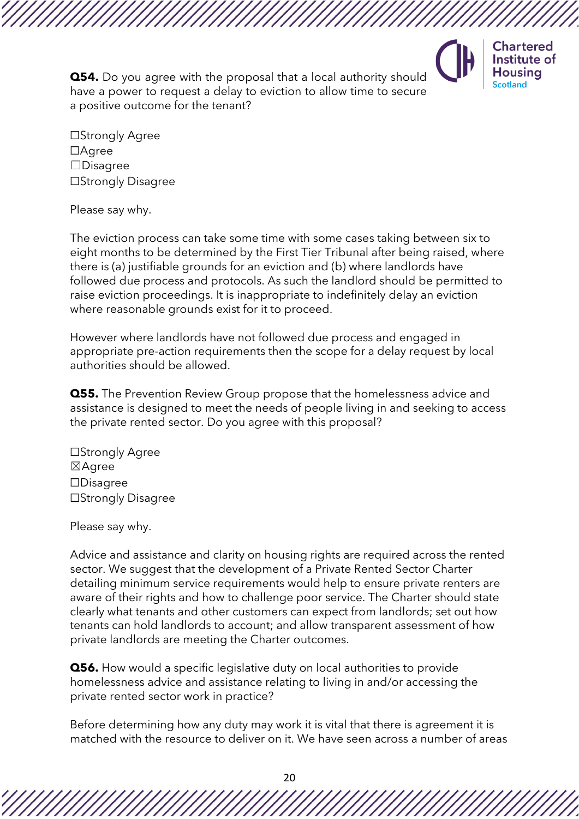

**Chartered** Institute of **Housing** Scotland

**Q54.** Do you agree with the proposal that a local authority should have a power to request a delay to eviction to allow time to secure a positive outcome for the tenant?

☐Strongly Agree ☐Agree ☐Disagree ☐Strongly Disagree

Please say why.

The eviction process can take some time with some cases taking between six to eight months to be determined by the First Tier Tribunal after being raised, where there is (a) justifiable grounds for an eviction and (b) where landlords have followed due process and protocols. As such the landlord should be permitted to raise eviction proceedings. It is inappropriate to indefinitely delay an eviction where reasonable grounds exist for it to proceed.

However where landlords have not followed due process and engaged in appropriate pre-action requirements then the scope for a delay request by local authorities should be allowed.

**Q55.** The Prevention Review Group propose that the homelessness advice and assistance is designed to meet the needs of people living in and seeking to access the private rented sector. Do you agree with this proposal?

☐Strongly Agree ☒Agree ☐Disagree ☐Strongly Disagree

Please say why.

Advice and assistance and clarity on housing rights are required across the rented sector. We suggest that the development of a Private Rented Sector Charter detailing minimum service requirements would help to ensure private renters are aware of their rights and how to challenge poor service. The Charter should state clearly what tenants and other customers can expect from landlords; set out how tenants can hold landlords to account; and allow transparent assessment of how private landlords are meeting the Charter outcomes.

**Q56.** How would a specific legislative duty on local authorities to provide homelessness advice and assistance relating to living in and/or accessing the private rented sector work in practice?

Before determining how any duty may work it is vital that there is agreement it is matched with the resource to deliver on it. We have seen across a number of areas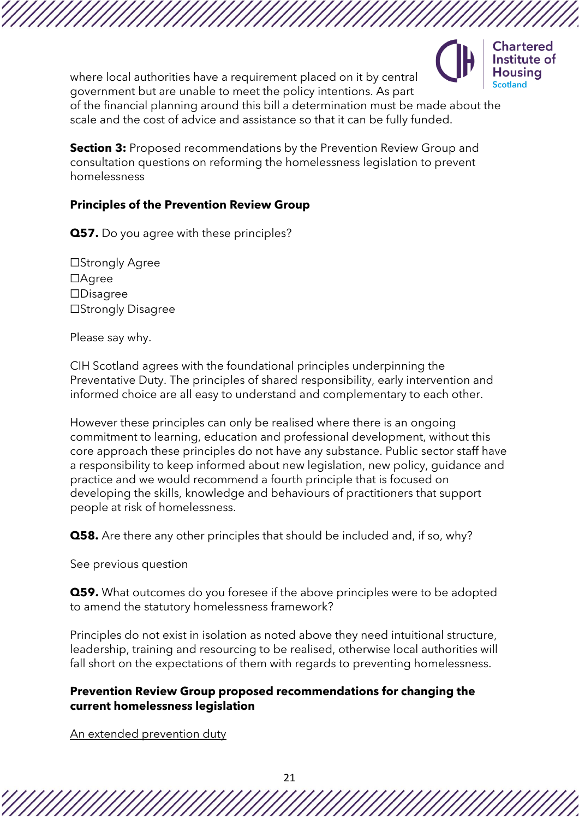

where local authorities have a requirement placed on it by central government but are unable to meet the policy intentions. As part of the financial planning around this bill a determination must be made about the scale and the cost of advice and assistance so that it can be fully funded.

**Section 3:** Proposed recommendations by the Prevention Review Group and consultation questions on reforming the homelessness legislation to prevent homelessness

### **Principles of the Prevention Review Group**

**Q57.** Do you agree with these principles?

☐Strongly Agree ☐Agree ☐Disagree ☐Strongly Disagree

Please say why.

CIH Scotland agrees with the foundational principles underpinning the Preventative Duty. The principles of shared responsibility, early intervention and informed choice are all easy to understand and complementary to each other.

However these principles can only be realised where there is an ongoing commitment to learning, education and professional development, without this core approach these principles do not have any substance. Public sector staff have a responsibility to keep informed about new legislation, new policy, guidance and practice and we would recommend a fourth principle that is focused on developing the skills, knowledge and behaviours of practitioners that support people at risk of homelessness.

**Q58.** Are there any other principles that should be included and, if so, why?

See previous question

**Q59.** What outcomes do you foresee if the above principles were to be adopted to amend the statutory homelessness framework?

Principles do not exist in isolation as noted above they need intuitional structure, leadership, training and resourcing to be realised, otherwise local authorities will fall short on the expectations of them with regards to preventing homelessness.

### **Prevention Review Group proposed recommendations for changing the current homelessness legislation**

An extended prevention duty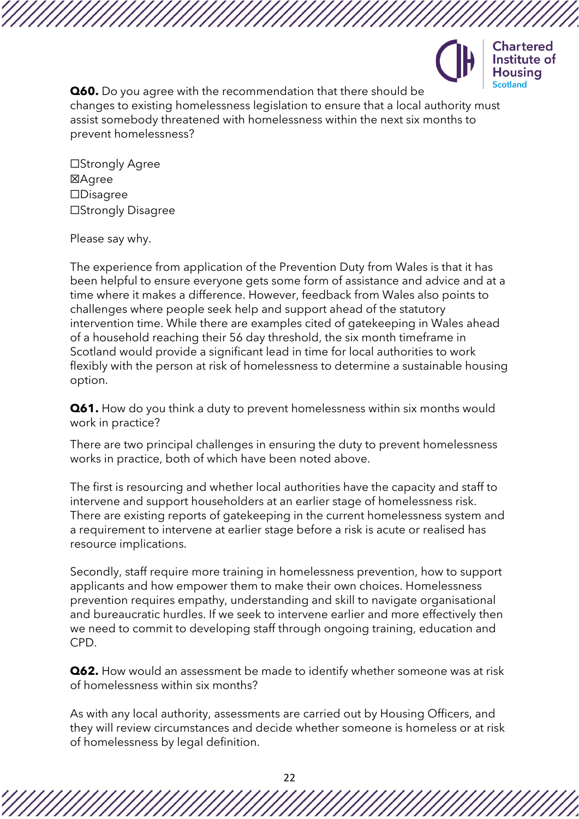

**Chartered** Institute of usina

**Q60.** Do you agree with the recommendation that there should be changes to existing homelessness legislation to ensure that a local authority must assist somebody threatened with homelessness within the next six months to prevent homelessness?

☐Strongly Agree **区Agree** ☐Disagree ☐Strongly Disagree

Please say why.

The experience from application of the Prevention Duty from Wales is that it has been helpful to ensure everyone gets some form of assistance and advice and at a time where it makes a difference. However, feedback from Wales also points to challenges where people seek help and support ahead of the statutory intervention time. While there are examples cited of gatekeeping in Wales ahead of a household reaching their 56 day threshold, the six month timeframe in Scotland would provide a significant lead in time for local authorities to work flexibly with the person at risk of homelessness to determine a sustainable housing option.

**Q61.** How do you think a duty to prevent homelessness within six months would work in practice?

There are two principal challenges in ensuring the duty to prevent homelessness works in practice, both of which have been noted above.

The first is resourcing and whether local authorities have the capacity and staff to intervene and support householders at an earlier stage of homelessness risk. There are existing reports of gatekeeping in the current homelessness system and a requirement to intervene at earlier stage before a risk is acute or realised has resource implications.

Secondly, staff require more training in homelessness prevention, how to support applicants and how empower them to make their own choices. Homelessness prevention requires empathy, understanding and skill to navigate organisational and bureaucratic hurdles. If we seek to intervene earlier and more effectively then we need to commit to developing staff through ongoing training, education and CPD.

**Q62.** How would an assessment be made to identify whether someone was at risk of homelessness within six months?

As with any local authority, assessments are carried out by Housing Officers, and they will review circumstances and decide whether someone is homeless or at risk of homelessness by legal definition.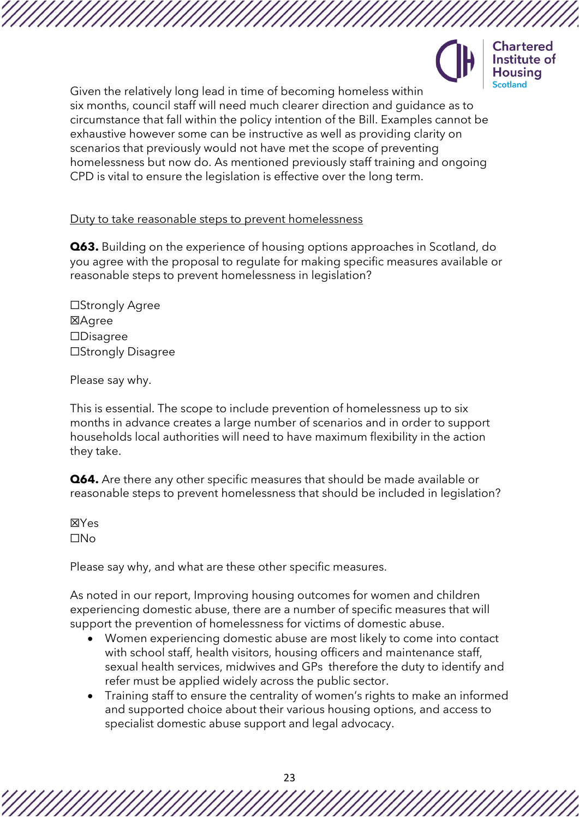



Given the relatively long lead in time of becoming homeless within six months, council staff will need much clearer direction and guidance as to circumstance that fall within the policy intention of the Bill. Examples cannot be exhaustive however some can be instructive as well as providing clarity on scenarios that previously would not have met the scope of preventing homelessness but now do. As mentioned previously staff training and ongoing CPD is vital to ensure the legislation is effective over the long term.

Duty to take reasonable steps to prevent homelessness

**Q63.** Building on the experience of housing options approaches in Scotland, do you agree with the proposal to regulate for making specific measures available or reasonable steps to prevent homelessness in legislation?

☐Strongly Agree ☒Agree ☐Disagree ☐Strongly Disagree

Please say why.

This is essential. The scope to include prevention of homelessness up to six months in advance creates a large number of scenarios and in order to support households local authorities will need to have maximum flexibility in the action they take.

**Q64.** Are there any other specific measures that should be made available or reasonable steps to prevent homelessness that should be included in legislation?

☒Yes ☐No

Please say why, and what are these other specific measures.

As noted in our report, Improving housing outcomes for women and children experiencing domestic abuse, there are a number of specific measures that will support the prevention of homelessness for victims of domestic abuse.

- Women experiencing domestic abuse are most likely to come into contact with school staff, health visitors, housing officers and maintenance staff, sexual health services, midwives and GPs therefore the duty to identify and refer must be applied widely across the public sector.
- Training staff to ensure the centrality of women's rights to make an informed and supported choice about their various housing options, and access to specialist domestic abuse support and legal advocacy.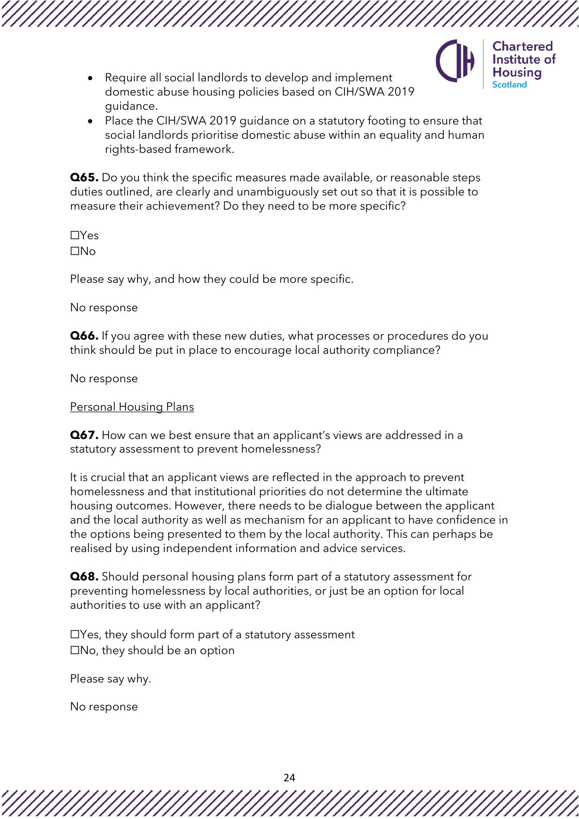

- Require all social landlords to develop and implement domestic abuse housing policies based on CIH/SWA 2019 guidance.
- Place the CIH/SWA 2019 guidance on a statutory footing to ensure that social landlords prioritise domestic abuse within an equality and human rights-based framework.

**Q65.** Do you think the specific measures made available, or reasonable steps duties outlined, are clearly and unambiguously set out so that it is possible to measure their achievement? Do they need to be more specific?

☐Yes ☐No

Please say why, and how they could be more specific.

No response

**Q66.** If you agree with these new duties, what processes or procedures do you think should be put in place to encourage local authority compliance?

No response

Personal Housing Plans

**Q67.** How can we best ensure that an applicant's views are addressed in a statutory assessment to prevent homelessness?

It is crucial that an applicant views are reflected in the approach to prevent homelessness and that institutional priorities do not determine the ultimate housing outcomes. However, there needs to be dialogue between the applicant and the local authority as well as mechanism for an applicant to have confidence in the options being presented to them by the local authority. This can perhaps be realised by using independent information and advice services.

**Q68.** Should personal housing plans form part of a statutory assessment for preventing homelessness by local authorities, or just be an option for local authorities to use with an applicant?

 $\Box$ Yes, they should form part of a statutory assessment  $\square$ No, they should be an option

Please say why.

No response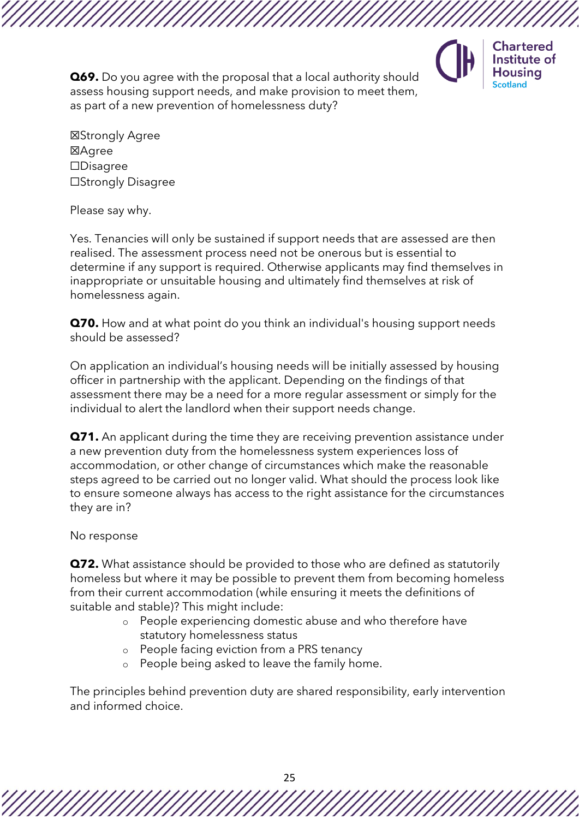

**Chartered** Institute of **Housing** Scotland

**Q69.** Do you agree with the proposal that a local authority should assess housing support needs, and make provision to meet them, as part of a new prevention of homelessness duty?

☒Strongly Agree ☒Agree ☐Disagree ☐Strongly Disagree

Please say why.

Yes. Tenancies will only be sustained if support needs that are assessed are then realised. The assessment process need not be onerous but is essential to determine if any support is required. Otherwise applicants may find themselves in inappropriate or unsuitable housing and ultimately find themselves at risk of homelessness again.

**Q70.** How and at what point do you think an individual's housing support needs should be assessed?

On application an individual's housing needs will be initially assessed by housing officer in partnership with the applicant. Depending on the findings of that assessment there may be a need for a more regular assessment or simply for the individual to alert the landlord when their support needs change.

**Q71.** An applicant during the time they are receiving prevention assistance under a new prevention duty from the homelessness system experiences loss of accommodation, or other change of circumstances which make the reasonable steps agreed to be carried out no longer valid. What should the process look like to ensure someone always has access to the right assistance for the circumstances they are in?

No response

**Q72.** What assistance should be provided to those who are defined as statutorily homeless but where it may be possible to prevent them from becoming homeless from their current accommodation (while ensuring it meets the definitions of suitable and stable)? This might include:

- o People experiencing domestic abuse and who therefore have statutory homelessness status
- o People facing eviction from a PRS tenancy
- o People being asked to leave the family home.

The principles behind prevention duty are shared responsibility, early intervention and informed choice.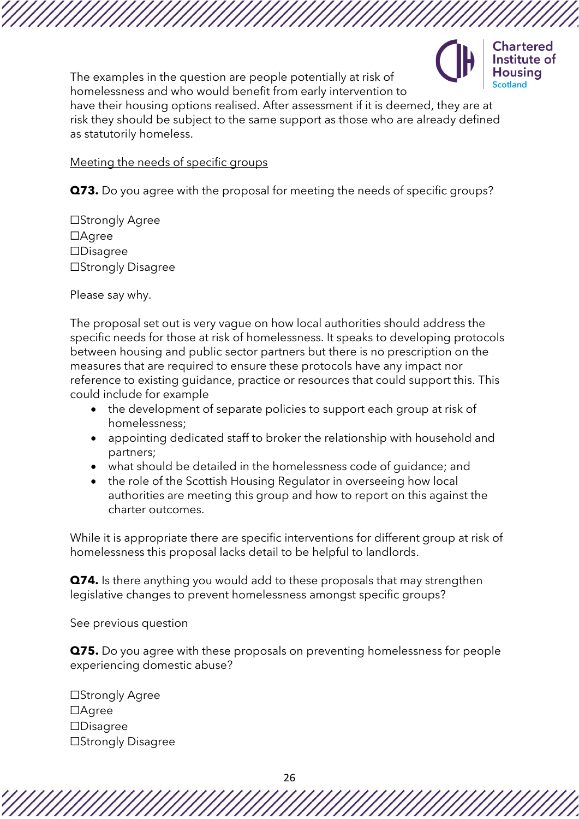

The examples in the question are people potentially at risk of homelessness and who would benefit from early intervention to

have their housing options realised. After assessment if it is deemed, they are at risk they should be subject to the same support as those who are already defined as statutorily homeless.

Meeting the needs of specific groups

**Q73.** Do you agree with the proposal for meeting the needs of specific groups?

☐Strongly Agree ☐Agree ☐Disagree ☐Strongly Disagree

Please say why.

The proposal set out is very vague on how local authorities should address the specific needs for those at risk of homelessness. It speaks to developing protocols between housing and public sector partners but there is no prescription on the measures that are required to ensure these protocols have any impact nor reference to existing guidance, practice or resources that could support this. This could include for example

- the development of separate policies to support each group at risk of homelessness;
- appointing dedicated staff to broker the relationship with household and partners;
- what should be detailed in the homelessness code of guidance; and
- the role of the Scottish Housing Regulator in overseeing how local authorities are meeting this group and how to report on this against the charter outcomes.

While it is appropriate there are specific interventions for different group at risk of homelessness this proposal lacks detail to be helpful to landlords.

**Q74.** Is there anything you would add to these proposals that may strengthen legislative changes to prevent homelessness amongst specific groups?

See previous question

**Q75.** Do you agree with these proposals on preventing homelessness for people experiencing domestic abuse?

☐Strongly Agree ☐Agree ☐Disagree ☐Strongly Disagree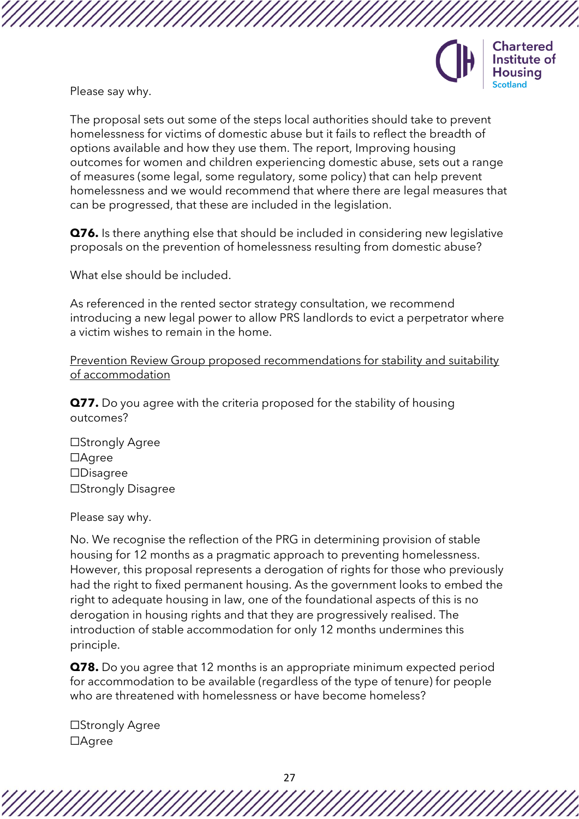

Please say why.

The proposal sets out some of the steps local authorities should take to prevent homelessness for victims of domestic abuse but it fails to reflect the breadth of options available and how they use them. The report, Improving housing outcomes for women and children experiencing domestic abuse, sets out a range of measures (some legal, some regulatory, some policy) that can help prevent homelessness and we would recommend that where there are legal measures that can be progressed, that these are included in the legislation.

**Q76.** Is there anything else that should be included in considering new legislative proposals on the prevention of homelessness resulting from domestic abuse?

What else should be included.

As referenced in the rented sector strategy consultation, we recommend introducing a new legal power to allow PRS landlords to evict a perpetrator where a victim wishes to remain in the home.

Prevention Review Group proposed recommendations for stability and suitability of accommodation

**Q77.** Do you agree with the criteria proposed for the stability of housing outcomes?

☐Strongly Agree ☐Agree ☐Disagree ☐Strongly Disagree

Please say why.

No. We recognise the reflection of the PRG in determining provision of stable housing for 12 months as a pragmatic approach to preventing homelessness. However, this proposal represents a derogation of rights for those who previously had the right to fixed permanent housing. As the government looks to embed the right to adequate housing in law, one of the foundational aspects of this is no derogation in housing rights and that they are progressively realised. The introduction of stable accommodation for only 12 months undermines this principle.

**Q78.** Do you agree that 12 months is an appropriate minimum expected period for accommodation to be available (regardless of the type of tenure) for people who are threatened with homelessness or have become homeless?

☐Strongly Agree ☐Agree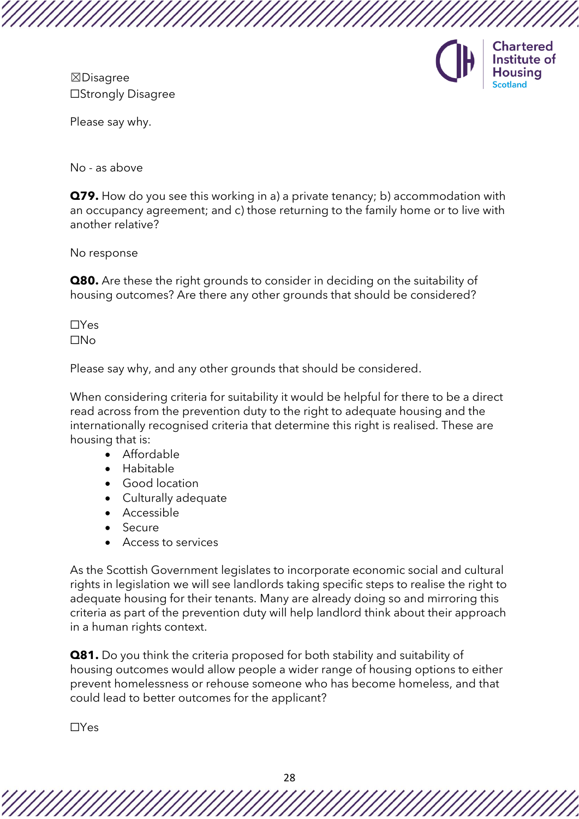☒Disagree ☐Strongly Disagree



Please say why.

No - as above

**Q79.** How do you see this working in a) a private tenancy; b) accommodation with an occupancy agreement; and c) those returning to the family home or to live with another relative?

No response

**Q80.** Are these the right grounds to consider in deciding on the suitability of housing outcomes? Are there any other grounds that should be considered?

☐Yes ☐No

Please say why, and any other grounds that should be considered.

When considering criteria for suitability it would be helpful for there to be a direct read across from the prevention duty to the right to adequate housing and the internationally recognised criteria that determine this right is realised. These are housing that is:

- Affordable
- Habitable
- Good location
- Culturally adequate
- Accessible
- Secure
- Access to services

As the Scottish Government legislates to incorporate economic social and cultural rights in legislation we will see landlords taking specific steps to realise the right to adequate housing for their tenants. Many are already doing so and mirroring this criteria as part of the prevention duty will help landlord think about their approach in a human rights context.

**Q81.** Do you think the criteria proposed for both stability and suitability of housing outcomes would allow people a wider range of housing options to either prevent homelessness or rehouse someone who has become homeless, and that could lead to better outcomes for the applicant?

☐Yes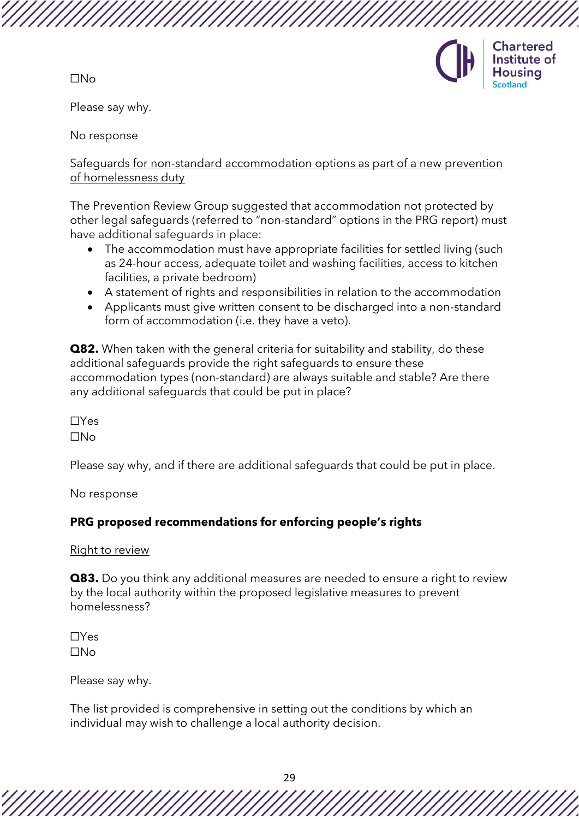☐No



Please say why.

No response

Safeguards for non-standard accommodation options as part of a new prevention of homelessness duty

The Prevention Review Group suggested that accommodation not protected by other legal safeguards (referred to "non-standard" options in the PRG report) must have additional safeguards in place:

- The accommodation must have appropriate facilities for settled living (such as 24-hour access, adequate toilet and washing facilities, access to kitchen facilities, a private bedroom)
- A statement of rights and responsibilities in relation to the accommodation
- Applicants must give written consent to be discharged into a non-standard form of accommodation (i.e. they have a veto).

**Q82.** When taken with the general criteria for suitability and stability, do these additional safeguards provide the right safeguards to ensure these accommodation types (non-standard) are always suitable and stable? Are there any additional safeguards that could be put in place?

☐Yes ☐No

Please say why, and if there are additional safeguards that could be put in place.

No response

# **PRG proposed recommendations for enforcing people's rights**

Right to review

**Q83.** Do you think any additional measures are needed to ensure a right to review by the local authority within the proposed legislative measures to prevent homelessness?

☐Yes ☐No

Please say why.

The list provided is comprehensive in setting out the conditions by which an individual may wish to challenge a local authority decision.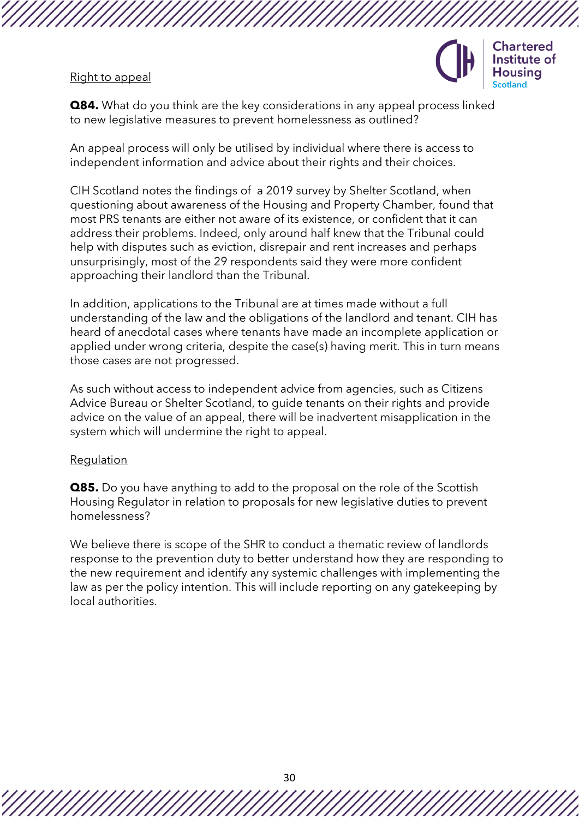#### Right to appeal



**Q84.** What do you think are the key considerations in any appeal process linked to new legislative measures to prevent homelessness as outlined?

An appeal process will only be utilised by individual where there is access to independent information and advice about their rights and their choices.

CIH Scotland notes the findings of a 2019 survey by Shelter Scotland, when questioning about awareness of the Housing and Property Chamber, found that most PRS tenants are either not aware of its existence, or confident that it can address their problems. Indeed, only around half knew that the Tribunal could help with disputes such as eviction, disrepair and rent increases and perhaps unsurprisingly, most of the 29 respondents said they were more confident approaching their landlord than the Tribunal.

In addition, applications to the Tribunal are at times made without a full understanding of the law and the obligations of the landlord and tenant. CIH has heard of anecdotal cases where tenants have made an incomplete application or applied under wrong criteria, despite the case(s) having merit. This in turn means those cases are not progressed.

As such without access to independent advice from agencies, such as Citizens Advice Bureau or Shelter Scotland, to guide tenants on their rights and provide advice on the value of an appeal, there will be inadvertent misapplication in the system which will undermine the right to appeal.

#### **Regulation**

**Q85.** Do you have anything to add to the proposal on the role of the Scottish Housing Regulator in relation to proposals for new legislative duties to prevent homelessness?

We believe there is scope of the SHR to conduct a thematic review of landlords response to the prevention duty to better understand how they are responding to the new requirement and identify any systemic challenges with implementing the law as per the policy intention. This will include reporting on any gatekeeping by local authorities.